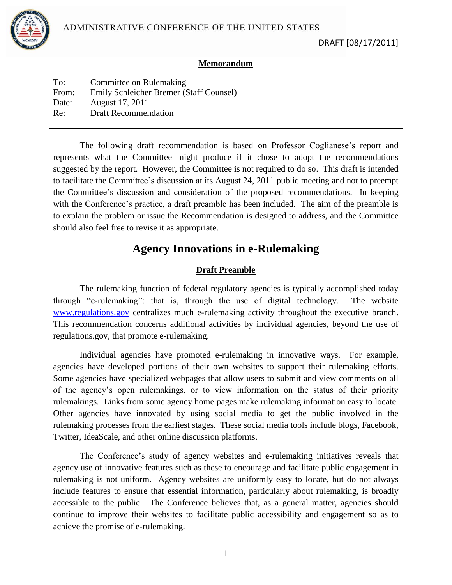

#### **Memorandum**

| To:   | Committee on Rulemaking                 |
|-------|-----------------------------------------|
| From: | Emily Schleicher Bremer (Staff Counsel) |
| Date: | August 17, 2011                         |
| Re:   | <b>Draft Recommendation</b>             |
|       |                                         |

The following draft recommendation is based on Professor Coglianese's report and represents what the Committee might produce if it chose to adopt the recommendations suggested by the report. However, the Committee is not required to do so. This draft is intended to facilitate the Committee's discussion at its August 24, 2011 public meeting and not to preempt the Committee's discussion and consideration of the proposed recommendations. In keeping with the Conference's practice, a draft preamble has been included. The aim of the preamble is to explain the problem or issue the Recommendation is designed to address, and the Committee should also feel free to revise it as appropriate.

# **Agency Innovations in e-Rulemaking**

## **Draft Preamble**

The rulemaking function of federal regulatory agencies is typically accomplished today through "e-rulemaking": that is, through the use of digital technology. The website [www.regulations.gov](http://www.regulations.gov/) centralizes much e-rulemaking activity throughout the executive branch. This recommendation concerns additional activities by individual agencies, beyond the use of regulations.gov, that promote e-rulemaking.

Individual agencies have promoted e-rulemaking in innovative ways. For example, agencies have developed portions of their own websites to support their rulemaking efforts. Some agencies have specialized webpages that allow users to submit and view comments on all of the agency's open rulemakings, or to view information on the status of their priority rulemakings. Links from some agency home pages make rulemaking information easy to locate. Other agencies have innovated by using social media to get the public involved in the rulemaking processes from the earliest stages. These social media tools include blogs, Facebook, Twitter, IdeaScale, and other online discussion platforms.

The Conference's study of agency websites and e-rulemaking initiatives reveals that agency use of innovative features such as these to encourage and facilitate public engagement in rulemaking is not uniform. Agency websites are uniformly easy to locate, but do not always include features to ensure that essential information, particularly about rulemaking, is broadly accessible to the public. The Conference believes that, as a general matter, agencies should continue to improve their websites to facilitate public accessibility and engagement so as to achieve the promise of e-rulemaking.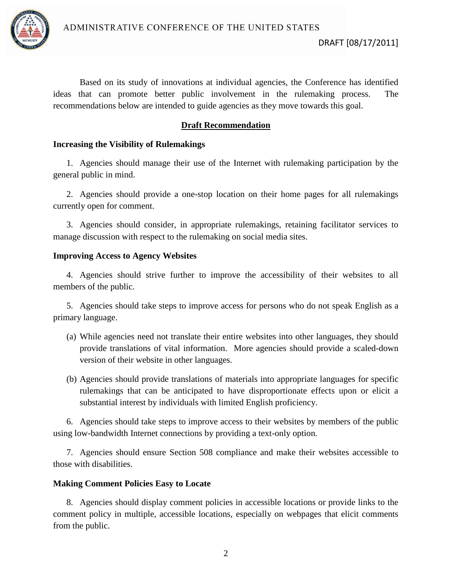

Based on its study of innovations at individual agencies, the Conference has identified ideas that can promote better public involvement in the rulemaking process. The recommendations below are intended to guide agencies as they move towards this goal.

# **Draft Recommendation**

## **Increasing the Visibility of Rulemakings**

1. Agencies should manage their use of the Internet with rulemaking participation by the general public in mind.

2. Agencies should provide a one-stop location on their home pages for all rulemakings currently open for comment.

3. Agencies should consider, in appropriate rulemakings, retaining facilitator services to manage discussion with respect to the rulemaking on social media sites.

### **Improving Access to Agency Websites**

4. Agencies should strive further to improve the accessibility of their websites to all members of the public.

5. Agencies should take steps to improve access for persons who do not speak English as a primary language.

- (a) While agencies need not translate their entire websites into other languages, they should provide translations of vital information. More agencies should provide a scaled-down version of their website in other languages.
- (b) Agencies should provide translations of materials into appropriate languages for specific rulemakings that can be anticipated to have disproportionate effects upon or elicit a substantial interest by individuals with limited English proficiency.

6. Agencies should take steps to improve access to their websites by members of the public using low-bandwidth Internet connections by providing a text-only option.

7. Agencies should ensure Section 508 compliance and make their websites accessible to those with disabilities.

## **Making Comment Policies Easy to Locate**

8. Agencies should display comment policies in accessible locations or provide links to the comment policy in multiple, accessible locations, especially on webpages that elicit comments from the public.